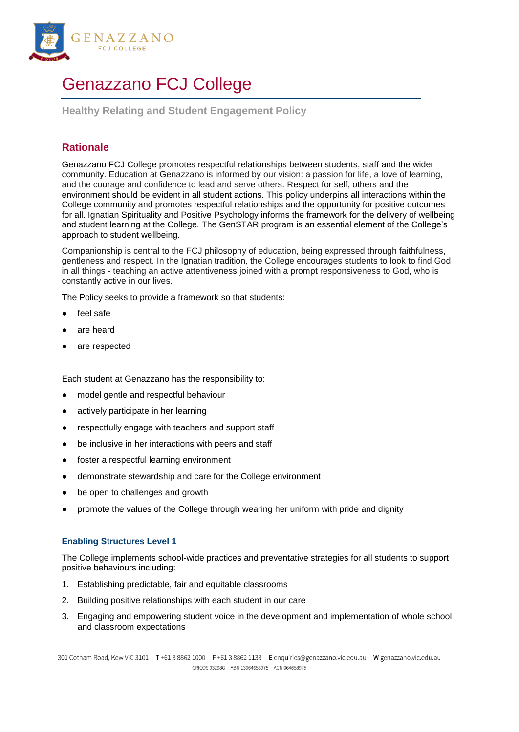

# Genazzano FCJ College

**Healthy Relating and Student Engagement Policy**

## **Rationale**

Genazzano FCJ College promotes respectful relationships between students, staff and the wider community. Education at Genazzano is informed by our vision: a passion for life, a love of learning, and the courage and confidence to lead and serve others. Respect for self, others and the environment should be evident in all student actions. This policy underpins all interactions within the College community and promotes respectful relationships and the opportunity for positive outcomes for all. Ignatian Spirituality and Positive Psychology informs the framework for the delivery of wellbeing and student learning at the College. The GenSTAR program is an essential element of the College's approach to student wellbeing.

Companionship is central to the FCJ philosophy of education, being expressed through faithfulness, gentleness and respect. In the Ignatian tradition, the College encourages students to look to find God in all things - teaching an active attentiveness joined with a prompt responsiveness to God, who is constantly active in our lives.

The Policy seeks to provide a framework so that students:

- feel safe
- are heard
- are respected

Each student at Genazzano has the responsibility to:

- model gentle and respectful behaviour
- actively participate in her learning
- respectfully engage with teachers and support staff
- be inclusive in her interactions with peers and staff
- foster a respectful learning environment
- demonstrate stewardship and care for the College environment
- be open to challenges and growth
- promote the values of the College through wearing her uniform with pride and dignity

### **Enabling Structures Level 1**

The College implements school-wide practices and preventative strategies for all students to support positive behaviours including:

- 1. Establishing predictable, fair and equitable classrooms
- 2. Building positive relationships with each student in our care
- 3. Engaging and empowering student voice in the development and implementation of whole school and classroom expectations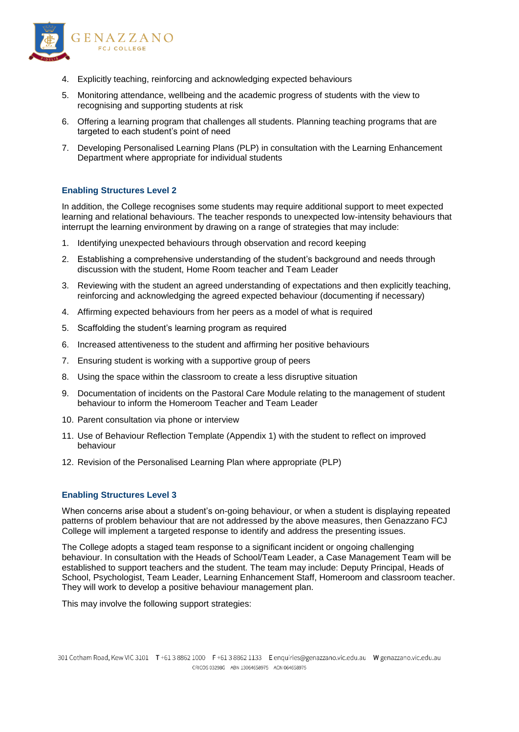

- 4. Explicitly teaching, reinforcing and acknowledging expected behaviours
- 5. Monitoring attendance, wellbeing and the academic progress of students with the view to recognising and supporting students at risk
- 6. Offering a learning program that challenges all students. Planning teaching programs that are targeted to each student's point of need
- 7. Developing Personalised Learning Plans (PLP) in consultation with the Learning Enhancement Department where appropriate for individual students

#### **Enabling Structures Level 2**

In addition, the College recognises some students may require additional support to meet expected learning and relational behaviours. The teacher responds to unexpected low-intensity behaviours that interrupt the learning environment by drawing on a range of strategies that may include:

- 1. Identifying unexpected behaviours through observation and record keeping
- 2. Establishing a comprehensive understanding of the student's background and needs through discussion with the student, Home Room teacher and Team Leader
- 3. Reviewing with the student an agreed understanding of expectations and then explicitly teaching, reinforcing and acknowledging the agreed expected behaviour (documenting if necessary)
- 4. Affirming expected behaviours from her peers as a model of what is required
- 5. Scaffolding the student's learning program as required
- 6. Increased attentiveness to the student and affirming her positive behaviours
- 7. Ensuring student is working with a supportive group of peers
- 8. Using the space within the classroom to create a less disruptive situation
- 9. Documentation of incidents on the Pastoral Care Module relating to the management of student behaviour to inform the Homeroom Teacher and Team Leader
- 10. Parent consultation via phone or interview
- 11. Use of Behaviour Reflection Template (Appendix 1) with the student to reflect on improved behaviour
- 12. Revision of the Personalised Learning Plan where appropriate (PLP)

#### **Enabling Structures Level 3**

When concerns arise about a student's on-going behaviour, or when a student is displaying repeated patterns of problem behaviour that are not addressed by the above measures, then Genazzano FCJ College will implement a targeted response to identify and address the presenting issues.

The College adopts a staged team response to a significant incident or ongoing challenging behaviour. In consultation with the Heads of School/Team Leader, a Case Management Team will be established to support teachers and the student. The team may include: Deputy Principal, Heads of School, Psychologist, Team Leader, Learning Enhancement Staff, Homeroom and classroom teacher. They will work to develop a positive behaviour management plan.

This may involve the following support strategies: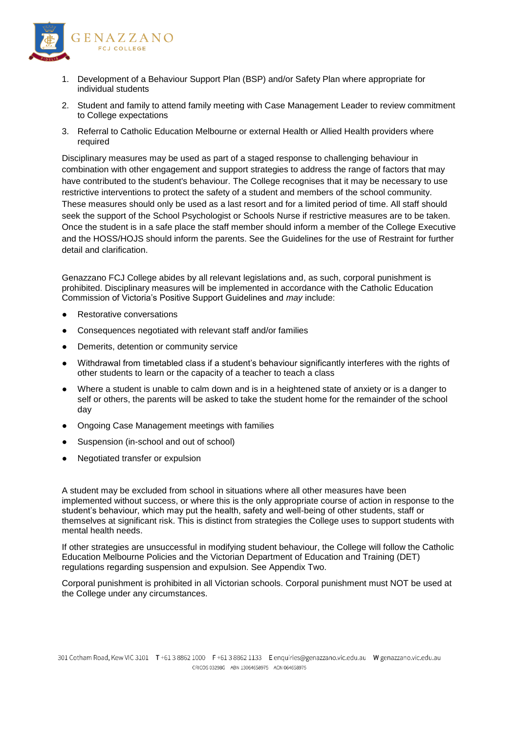

- 1. Development of a Behaviour Support Plan (BSP) and/or Safety Plan where appropriate for individual students
- 2. Student and family to attend family meeting with Case Management Leader to review commitment to College expectations
- 3. Referral to Catholic Education Melbourne or external Health or Allied Health providers where required

Disciplinary measures may be used as part of a staged response to challenging behaviour in combination with other engagement and support strategies to address the range of factors that may have contributed to the student's behaviour. The College recognises that it may be necessary to use restrictive interventions to protect the safety of a student and members of the school community. These measures should only be used as a last resort and for a limited period of time. All staff should seek the support of the School Psychologist or Schools Nurse if restrictive measures are to be taken. Once the student is in a safe place the staff member should inform a member of the College Executive and the HOSS/HOJS should inform the parents. See the Guidelines for the use of Restraint for further detail and clarification.

Genazzano FCJ College abides by all relevant legislations and, as such, corporal punishment is prohibited. Disciplinary measures will be implemented in accordance with the Catholic Education Commission of Victoria's Positive Support Guidelines and *may* include:

- **Restorative conversations**
- Consequences negotiated with relevant staff and/or families
- Demerits, detention or community service
- Withdrawal from timetabled class if a student's behaviour significantly interferes with the rights of other students to learn or the capacity of a teacher to teach a class
- Where a student is unable to calm down and is in a heightened state of anxiety or is a danger to self or others, the parents will be asked to take the student home for the remainder of the school day
- Ongoing Case Management meetings with families
- Suspension (in-school and out of school)
- Negotiated transfer or expulsion

A student may be excluded from school in situations where all other measures have been implemented without success, or where this is the only appropriate course of action in response to the student's behaviour, which may put the health, safety and well-being of other students, staff or themselves at significant risk. This is distinct from strategies the College uses to support students with mental health needs.

If other strategies are unsuccessful in modifying student behaviour, the College will follow the Catholic Education Melbourne Policies and the Victorian Department of Education and Training (DET) regulations regarding suspension and expulsion. See Appendix Two.

Corporal punishment is prohibited in all Victorian schools. Corporal punishment must NOT be used at the College under any circumstances.